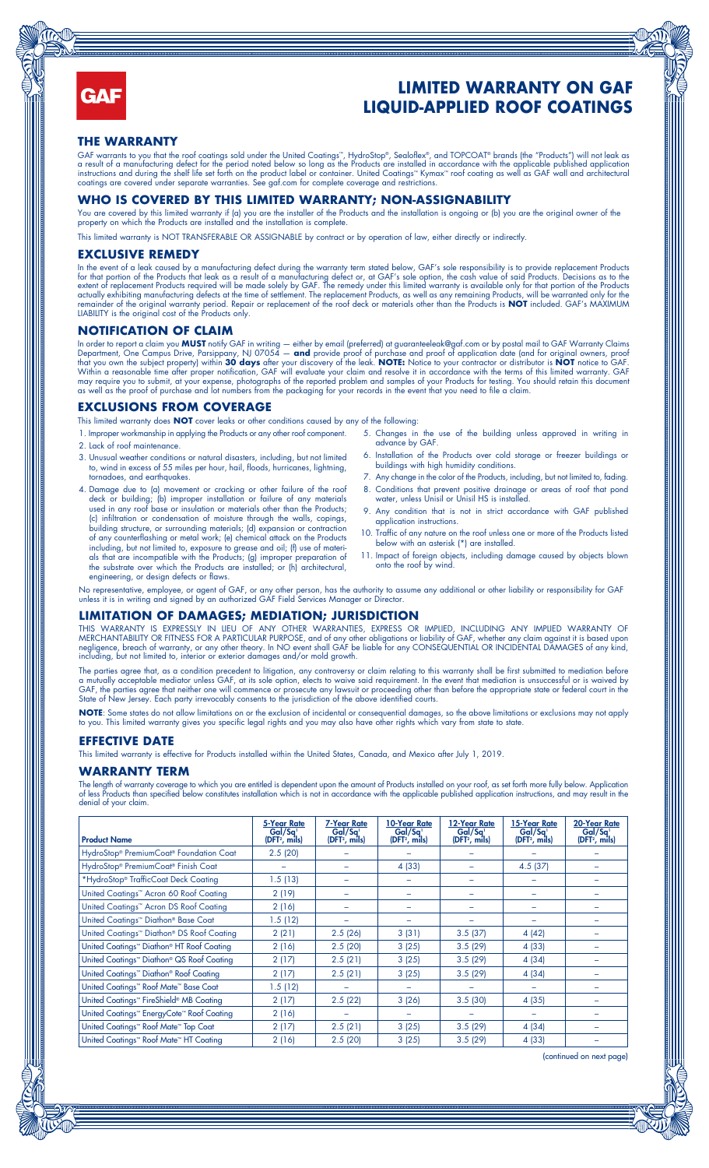

# **LIMITED WARRANTY ON GAF LIQUID-APPLIED ROOF COATINGS**

#### **THE WARRANTY**

GAF warrants to you that the roof coatings sold under the United Coatings™, HydroStop®, Sealoflex®, and TOPCOAT® brands (the "Products") will not leak as a result of a manufacturing defect for the period noted below so long as the Products are installed in accordance with the applicable published application instructions and during the shelf life set forth on the product label or container. United Coatings™ Kymax™ roof coating as well as GAF wall and architectural coatings are covered under separate warranties. See gaf.com for complete coverage and restrictions.

### **WHO IS COVERED BY THIS LIMITED WARRANTY; NON-ASSIGNABILITY**

You are covered by this limited warranty if (a) you are the installer of the Products and the installation is ongoing or (b) you are the original owner of the property on which the Products are installed and the installation is complete.

This limited warranty is NOT TRANSFERABLE OR ASSIGNABLE by contract or by operation of law, either directly or indirectly

### **EXCLUSIVE REMEDY**

In the event of a leak caused by a manufacturing defect during the warranty term stated below, GAF's sole responsibility is to provide replacement Products for that portion of the Products that leak as a result of a manufacturing defect or, at GAF's sole option, the cash value of said Products. Decisions as to the extent of replacement Products required will be made solely by GAF. The remedy under this limited warranty is available only for that portion of the Products actually exhibiting manufacturing defects at the time of settlement. The replacement Products, as well as any remaining Products, will be warranted only for the remainder of the original warranty period. Repair or replacement of the roof deck or materials other than the Products is **NOT** included. GAF's MAXIMUM<br>LIABILITY is the original cost of the Products only.

#### **NOTIFICATION OF CLAIM**

In order to report a claim you **MUST** notify GAF in writing — either by email (preferred) at guaranteeleak@gaf.com or by postal mail to GAF Warranty Claims Department, One Campus Drive, Parsippany, NJ 07054 — **and** provide proof of purchase and proof of application date (and for original owners, proof that you own the subject property) within **30 days** after your discovery of the leak. **NOTE:** Notice to your contractor or distributor is **NOT** notice to GAF.<br>Within a reasonable time after proper notification, GAF will ev may require you to submit, at your expense, photographs of the reported problem and samples of your Products for testing. You should retain this document as well as the proof of purchase and lot numbers from the packaging for your records in the event that you need to file a claim.

#### **EXCLUSIONS FROM COVERAGE**

This limited warranty does **NOT** cover leaks or other conditions caused by any of the following:

- 1. Improper workmanship in applying the Products or any other roof component. 2. Lack of roof maintenance.
- 
- 3. Unusual weather conditions or natural disasters, including, but not limited to, wind in excess of 55 miles per hour, hail, floods, hurricanes, lightning, tornadoes, and earthquakes.
- 4. Damage due to (a) movement or cracking or other failure of the roof deck or building; (b) improper installation or failure of any materials used in any roof base or insulation or materials other than the Products; (c) infiltration or condensation of moisture through the walls, copings, building structure, or surrounding materials; (d) expansion or contraction of any counterflashing or metal work; (e) chemical attack on the Products including, but not limited to, exposure to grease and oil; (f) use of materials that are incompatible with the Products; (g) improper preparation of the substrate over which the Products are installed; or (h) architectural, engineering, or design defects or flaws.
- 5. Changes in the use of the building unless approved in writing in advance by GAF.
- 6. Installation of the Products over cold storage or freezer buildings or buildings with high humidity conditions.
- 7. Any change in the color of the Products, including, but not limited to, fading. 8. Conditions that prevent positive drainage or areas of roof that pond
- water, unless Unisil or Unisil HS is installed. 9. Any condition that is not in strict accordance with GAF published
- application instructions. 10. Traffic of any nature on the roof unless one or more of the Products listed
- below with an asterisk (\*) are installed.
- 11. Impact of foreign objects, including damage caused by objects blown onto the roof by wind.

No representative, employee, or agent of GAF, or any other person, has the authority to assume any additional or other liability or responsibility for GAF unless it is in writing and signed by an authorized GAF Field Services Manager or Director.

#### **LIMITATION OF DAMAGES; MEDIATION; JURISDICTION**

THIS WARRANTY IS EXPRESSLY IN LIEU OF ANY OTHER WARRANTIES, EXPRESS OR IMPLIED, INCLUDING ANY IMPLIED WARRANTY OF MERCHANTABILITY OR FITNESS FOR A PARTICULAR PURPOSE, and of any other obligations or liability of GAF, whether any claim against it is based upon negligence, breach of warranty, or any other theory. In NO event shall GAF be liable for any CONSEQUENTIAL OR INCIDENTAL DAMAGES of any kind, including, but not limited to, interior or exterior damages and/or mold growth.

The parties agree that, as a condition precedent to litigation, any controversy or claim relating to this warranty shall be first submitted to mediation before a mutually acceptable mediator unless GAF, at its sole option, elects to waive said requirement. In the event that mediation is unsuccessful or is waived by GAF, the parties agree that neither one will commence or prosecute any lawsuit or proceeding other than before the appropriate state or federal court in the State of New Jersey. Each party irrevocably consents to the jurisdiction of the above identified courts.

NOTE: Some states do not allow limitations on or the exclusion of incidental or consequential damages, so the above limitations or exclusions may not apply to you. This limited warranty gives you specific legal rights and you may also have other rights which vary from state to state

## **EFFECTIVE DATE**

This limited warranty is effective for Products installed within the United States, Canada, and Mexico after July 1, 2019.

## **WARRANTY TERM**

The length of warranty coverage to which you are entitled is dependent upon the amount of Products installed on your roof, as set forth more fully below. Application of less Products than specified below constitutes installation which is not in accordance with the applicable published application instructions, and may result in the denial of your claim.

| <b>Product Name</b>                                                 | <b>5-Year Rate</b><br>Gal/Sq <sup>1</sup><br>(DFT <sup>2</sup> , mils) | <b>7-Year Rate</b><br>Gal/Sq <sup>1</sup><br>(DFT <sup>2</sup> , mils) | 10-Year Rate<br>Gal/Sq <sup>1</sup><br>(DFT <sup>2</sup> , mils) | 12-Year Rate<br>Gal/Sq <sup>1</sup><br>(DFT <sup>2</sup> , mils) | 15-Year Rate<br>Gal/Sq <sup>1</sup><br>(DFT <sup>2</sup> , mils) | 20-Year Rate<br>Gal/Sq<br>(DFT <sup>2</sup> , mils) |
|---------------------------------------------------------------------|------------------------------------------------------------------------|------------------------------------------------------------------------|------------------------------------------------------------------|------------------------------------------------------------------|------------------------------------------------------------------|-----------------------------------------------------|
| HydroStop® PremiumCoat® Foundation Coat                             | 2.5(20)                                                                |                                                                        |                                                                  |                                                                  |                                                                  |                                                     |
| HydroStop® PremiumCoat® Finish Coat                                 |                                                                        |                                                                        | 4 (33)                                                           |                                                                  | 4.5(37)                                                          |                                                     |
| *HydroStop® TrafficCoat Deck Coating                                | 1.5(13)                                                                |                                                                        |                                                                  |                                                                  |                                                                  |                                                     |
| United Coatings <sup>™</sup> Acron 60 Roof Coating                  | 2(19)                                                                  |                                                                        |                                                                  |                                                                  |                                                                  |                                                     |
| United Coatings <sup>"</sup> Acron DS Roof Coating                  | 2(16)                                                                  | -                                                                      |                                                                  |                                                                  |                                                                  |                                                     |
| United Coatings <sup>™</sup> Diathon® Base Coat                     | 1.5(12)                                                                | -                                                                      |                                                                  |                                                                  |                                                                  |                                                     |
| United Coatings <sup>™</sup> Diathon® DS Roof Coating               | 2(21)                                                                  | 2.5(26)                                                                | 3(31)                                                            | 3.5(37)                                                          | 4(42)                                                            |                                                     |
| United Coatings <sup>*</sup> Diathon <sup>®</sup> HT Roof Coating   | 2(16)                                                                  | 2.5(20)                                                                | 3(25)                                                            | 3.5(29)                                                          | 4 (33)                                                           |                                                     |
| United Coatings <sup>™</sup> Diathon® QS Roof Coating               | 2(17)                                                                  | 2.5(21)                                                                | 3(25)                                                            | 3.5(29)                                                          | 4 (34)                                                           |                                                     |
| United Coatings <sup>™</sup> Diathon® Roof Coating                  | 2(17)                                                                  | 2.5(21)                                                                | 3(25)                                                            | 3.5(29)                                                          | 4 (34)                                                           |                                                     |
| United Coatings <sup>*</sup> Roof Mate <sup>*</sup> Base Coat       | 1.5(12)                                                                |                                                                        |                                                                  |                                                                  |                                                                  |                                                     |
| United Coatings™ FireShield® MB Coating                             | 2(17)                                                                  | 2.5(22)                                                                | 3(26)                                                            | 3.5(30)                                                          | 4 (35)                                                           |                                                     |
| United Coatings <sup>**</sup> EnergyCote <sup>**</sup> Roof Coating | 2(16)                                                                  | $\overline{\phantom{a}}$                                               |                                                                  |                                                                  |                                                                  |                                                     |
| United Coatings <sup>™</sup> Roof Mate <sup>™</sup> Top Coat        | 2(17)                                                                  | 2.5(21)                                                                | 3(25)                                                            | 3.5(29)                                                          | 4 (34)                                                           |                                                     |
| United Coatings <sup>**</sup> Roof Mate <sup>**</sup> HT Coating    | 2(16)                                                                  | 2.5(20)                                                                | 3(25)                                                            | 3.5(29)                                                          | 4 (33)                                                           |                                                     |

(continued on next page)